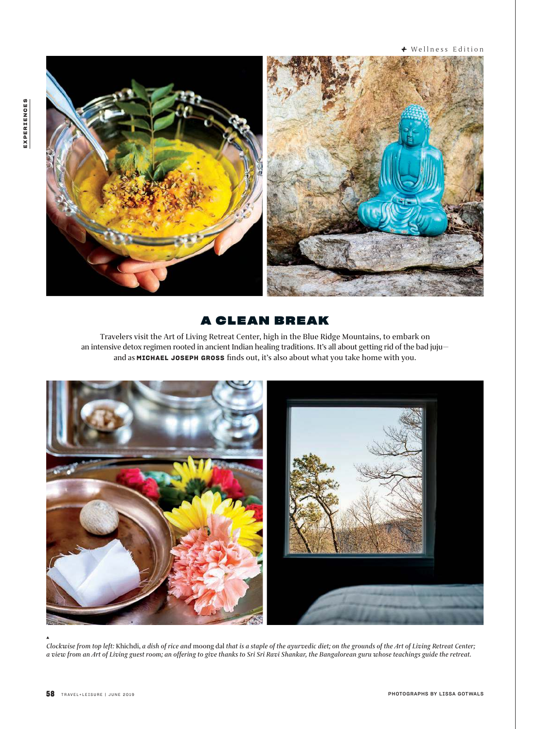<sup>+</sup> Wellness Edition



# **A CLEAN BREAK**

Travelers visit the Art of Living Retreat Center, high in the Blue Ridge Mountains, to embark on an intensive detox regimen rooted in ancient Indian healing traditions. It's all about getting rid of the bad jujuand as **MICHAEL JOSEPH GROSS** finds out, it's also about what you take home with you.



*Clockwise from top left:* Khichdi, *a dish of rice and* moong dal *that is a staple of the ayurvedic diet; on the grounds of the Art of Living Retreat Center; a view from an Art of Living guest room; an offering to give thanks to Sri Sri Ravi Shankar, the Bangalorean guru whose teachings guide the retreat.*